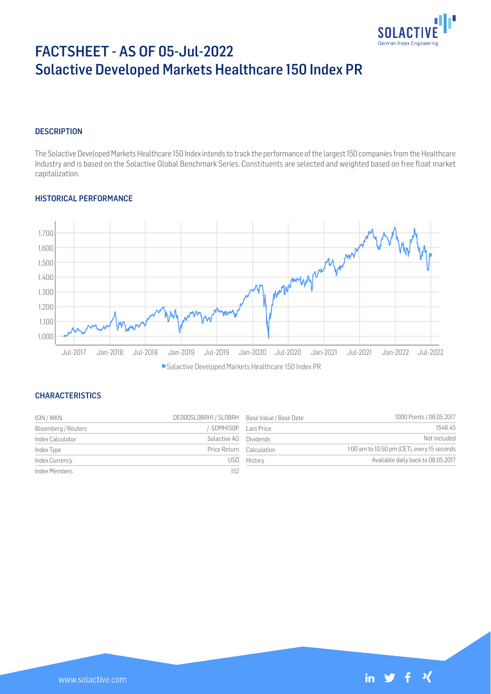

# FACTSHEET - AS OF 05-Jul-2022 Solactive Developed Markets Healthcare 150 Index PR

# **DESCRIPTION**

The Solactive Developed Markets Healthcare 150 Index intends to track the performance of the largest 150 companies from the Healthcare Industry and is based on the Solactive Global Benchmark Series. Constituents are selected and weighted based on free float market capitalization.

# HISTORICAL PERFORMANCE



### **CHARACTERISTICS**

| ISIN / WKN          | DE000SL0BRH1 / SL0BRH Base Value / Base Date |             | 1000 Points / 08.05.2017                    |
|---------------------|----------------------------------------------|-------------|---------------------------------------------|
| Bloomberg / Reuters | SDMH150P Last Price                          |             | 1546.45                                     |
| Index Calculator    | Solactive AG Dividends                       |             | Not included                                |
| Index Type          | Price Return Calculation                     |             | 1:00 am to 10:50 pm (CET), every 15 seconds |
| Index Currency      |                                              | USD History | Available daily back to 08.05.2017          |
| Index Members       | 152                                          |             |                                             |

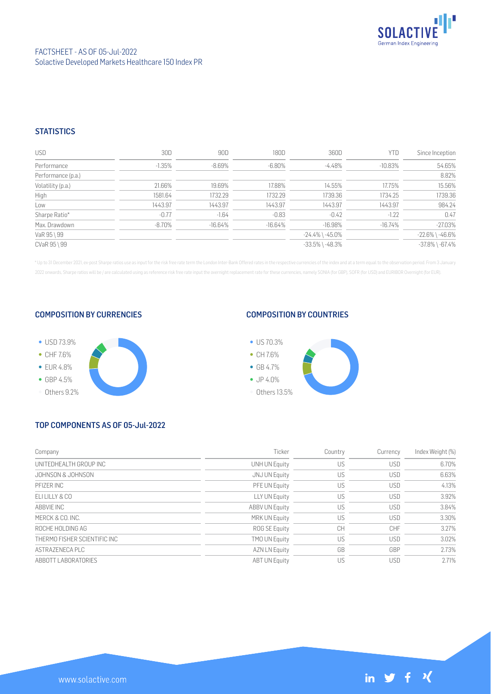

# **STATISTICS**

| <b>USD</b>         | 30D      | 90D       | 180D      | 360D                  | YTD        | Since Inception       |
|--------------------|----------|-----------|-----------|-----------------------|------------|-----------------------|
| Performance        | $-1.35%$ | $-8.69\%$ | -6.80%    | -4.48%                | $-10.83\%$ | 54.65%                |
| Performance (p.a.) |          |           |           |                       |            | 8.82%                 |
| Volatility (p.a.)  | 21.66%   | 19.69%    | 17.88%    | 14.55%                | 17.75%     | 15.56%                |
| High               | 1581.64  | 1732.29   | 1732.29   | 1739.36               | 1734.25    | 1739.36               |
| Low                | 1443.97  | 1443.97   | 1443.97   | 1443.97               | 1443.97    | 984.24                |
| Sharpe Ratio*      | $-0.77$  | $-1.64$   | $-0.83$   | $-0.42$               | $-1.22$    | 0.47                  |
| Max. Drawdown      | -8.70%   | $-16.64%$ | $-16.64%$ | $-16.98%$             | $-16.74\%$ | $-27.03%$             |
| VaR 95 \ 99        |          |           |           | $-24.4\%$ \ $-45.0\%$ |            | $-22.6\%$ \ $-46.6\%$ |
| CVaR 95 \ 99       |          |           |           | $-33.5\%$ \ $-48.3\%$ |            | $-37.8\%$ \ $-67.4\%$ |

\* Up to 31 December 2021, ex-post Sharpe ratios use as input for the risk free rate term the London Inter-Bank Offered rates in the respective currencies of the index and at a term equal to the observation period. From 3 J 2022 onwards, Sharpe ratios will be / are calculated using as reference risk free rate input the overnight replacement rate for these currencies, namely SONIA (for GBP), SOFR (for USD) and EURIBOR Overnight (for EUR).

#### COMPOSITION BY CURRENCIES



# COMPOSITION BY COUNTRIES



# TOP COMPONENTS AS OF 05-Jul-2022

| Company                      | Ticker                | Country | Currency   | Index Weight (%) |
|------------------------------|-----------------------|---------|------------|------------------|
| UNITEDHEALTH GROUP INC       | <b>UNH UN Equity</b>  | US      | <b>USD</b> | 6.70%            |
| JOHNSON & JOHNSON            | JNJ UN Equity         | US      | <b>USD</b> | 6.63%            |
| PFIZER INC                   | PFE UN Equity         | US      | <b>USD</b> | 4.13%            |
| F11111Y&C0                   | LLY UN Equity         | US      | <b>USD</b> | 3.92%            |
| ABBVIE INC                   | <b>ABBV UN Equity</b> | US      | <b>USD</b> | 3.84%            |
| MERCK & CO. INC.             | MRK UN Equity         | US      | <b>USD</b> | 3.30%            |
| ROCHE HOLDING AG             | ROG SE Equity         | CH      | CHF        | 3.27%            |
| THERMO FISHER SCIENTIFIC INC | <b>TMO UN Equity</b>  | US      | <b>USD</b> | 3.02%            |
| ASTRAZENECA PLC              | <b>AZN LN Equity</b>  | GB      | GBP        | 2.73%            |
| ABBOTT LABORATORIES          | <b>ABT UN Equity</b>  | US      | <b>USD</b> | 2.71%            |